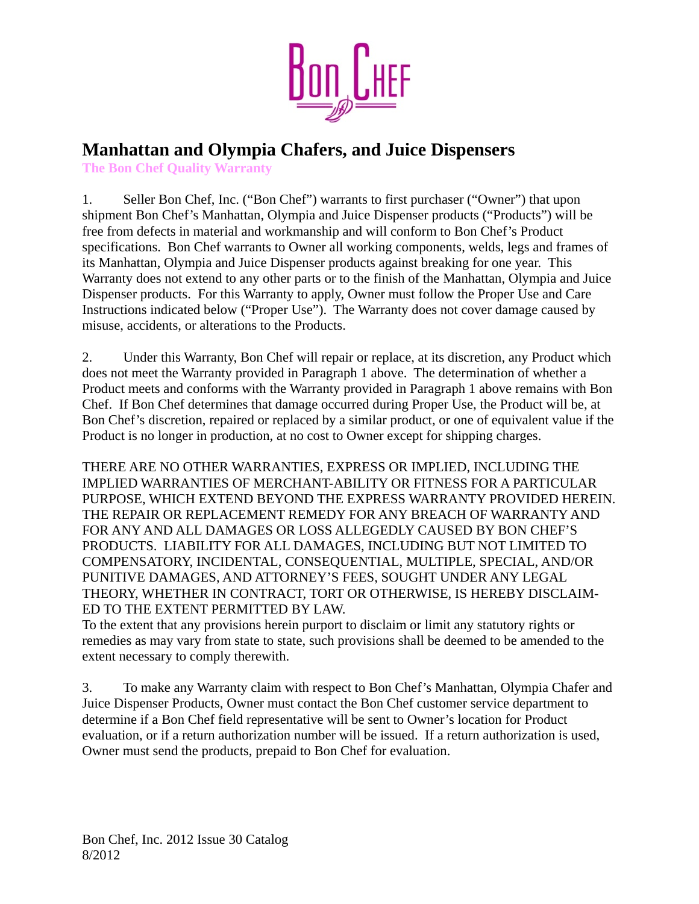

## **Manhattan and Olympia Chafers, and Juice Dispensers**

**The Bon Chef Quality Warranty**

1. Seller Bon Chef, Inc. ("Bon Chef") warrants to first purchaser ("Owner") that upon shipment Bon Chef's Manhattan, Olympia and Juice Dispenser products ("Products") will be free from defects in material and workmanship and will conform to Bon Chef's Product specifications. Bon Chef warrants to Owner all working components, welds, legs and frames of its Manhattan, Olympia and Juice Dispenser products against breaking for one year. This Warranty does not extend to any other parts or to the finish of the Manhattan, Olympia and Juice Dispenser products. For this Warranty to apply, Owner must follow the Proper Use and Care Instructions indicated below ("Proper Use"). The Warranty does not cover damage caused by misuse, accidents, or alterations to the Products.

2. Under this Warranty, Bon Chef will repair or replace, at its discretion, any Product which does not meet the Warranty provided in Paragraph 1 above. The determination of whether a Product meets and conforms with the Warranty provided in Paragraph 1 above remains with Bon Chef. If Bon Chef determines that damage occurred during Proper Use, the Product will be, at Bon Chef's discretion, repaired or replaced by a similar product, or one of equivalent value if the Product is no longer in production, at no cost to Owner except for shipping charges.

THERE ARE NO OTHER WARRANTIES, EXPRESS OR IMPLIED, INCLUDING THE IMPLIED WARRANTIES OF MERCHANT-ABILITY OR FITNESS FOR A PARTICULAR PURPOSE, WHICH EXTEND BEYOND THE EXPRESS WARRANTY PROVIDED HEREIN. THE REPAIR OR REPLACEMENT REMEDY FOR ANY BREACH OF WARRANTY AND FOR ANY AND ALL DAMAGES OR LOSS ALLEGEDLY CAUSED BY BON CHEF'S PRODUCTS. LIABILITY FOR ALL DAMAGES, INCLUDING BUT NOT LIMITED TO COMPENSATORY, INCIDENTAL, CONSEQUENTIAL, MULTIPLE, SPECIAL, AND/OR PUNITIVE DAMAGES, AND ATTORNEY'S FEES, SOUGHT UNDER ANY LEGAL THEORY, WHETHER IN CONTRACT, TORT OR OTHERWISE, IS HEREBY DISCLAIM-ED TO THE EXTENT PERMITTED BY LAW.

To the extent that any provisions herein purport to disclaim or limit any statutory rights or remedies as may vary from state to state, such provisions shall be deemed to be amended to the extent necessary to comply therewith.

3. To make any Warranty claim with respect to Bon Chef's Manhattan, Olympia Chafer and Juice Dispenser Products, Owner must contact the Bon Chef customer service department to determine if a Bon Chef field representative will be sent to Owner's location for Product evaluation, or if a return authorization number will be issued. If a return authorization is used, Owner must send the products, prepaid to Bon Chef for evaluation.